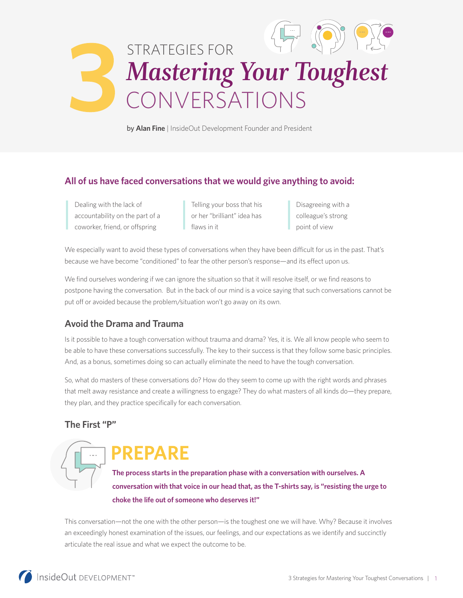

by **Alan Fine** | InsideOut Development Founder and President

## **All of us have faced conversations that we would give anything to avoid:**

| Dealing with the lack of        |
|---------------------------------|
| accountability on the part of a |
| coworker, friend, or offspring  |

Telling your boss that his or her "brilliant" idea has flaws in it

Disagreeing with a colleague's strong point of view

We especially want to avoid these types of conversations when they have been difficult for us in the past. That's because we have become "conditioned" to fear the other person's response—and its effect upon us.

We find ourselves wondering if we can ignore the situation so that it will resolve itself, or we find reasons to postpone having the conversation. But in the back of our mind is a voice saying that such conversations cannot be put off or avoided because the problem/situation won't go away on its own.

# **Avoid the Drama and Trauma**

Is it possible to have a tough conversation without trauma and drama? Yes, it is. We all know people who seem to be able to have these conversations successfully. The key to their success is that they follow some basic principles. And, as a bonus, sometimes doing so can actually eliminate the need to have the tough conversation.

So, what do masters of these conversations do? How do they seem to come up with the right words and phrases that melt away resistance and create a willingness to engage? They do what masters of all kinds do—they prepare, they plan, and they practice specifically for each conversation.

## **The First "P"**

# PREPARE

**The process starts in the preparation phase with a conversation with ourselves. A conversation with that voice in our head that, as the T-shirts say, is "resisting the urge to choke the life out of someone who deserves it!"** 

This conversation—not the one with the other person—is the toughest one we will have. Why? Because it involves an exceedingly honest examination of the issues, our feelings, and our expectations as we identify and succinctly articulate the real issue and what we expect the outcome to be.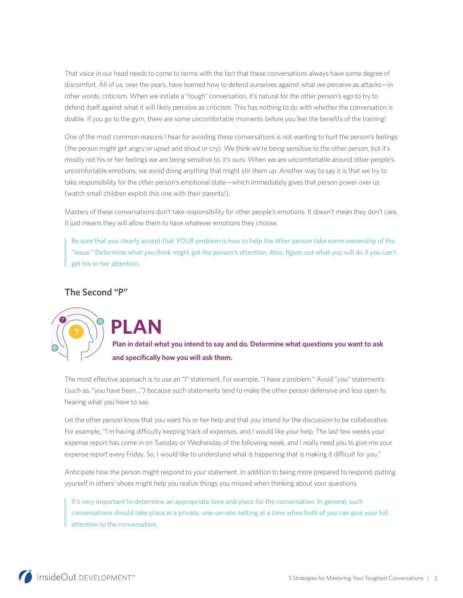That voice in our head needs to come to terms with the fact that these conversations always have some degree of discomfort. All of us, over the years, have learned how to defend ourselves against what we perceive as attacks—in other words, criticism. When we initiate a "tough" conversation, it's natural for the other person's ego to try to defend itself against what it will likely perceive as criticism. This has nothing to do with whether the conversation is doable. If you go to the gym, there are some uncomfortable moments before you feel the benefits of the training!

One of the most common reasons I hear for avoiding these conversations is not wanting to hurt the person's feelings (the person might get angry or upset and shout or cry). We think we're being sensitive to the other person, but it's mostly not his or her feelings we are being sensitive to, it's ours. When we are uncomfortable around other people's uncomfortable emotions, we avoid doing anything that might stir them up. Another way to say it is that we try to take responsibility for the other person's emotional state—which immediately gives that person power over us (watch small children exploit this one with their parents!).

Masters of these conversations don't take responsibility for other people's emotions. It doesn't mean they don't care, it just means they will allow them to have whatever emotions they choose.

Be sure that you clearly accept that YOUR problem is how to help the other person take some ownership of the "issue." Determine what you think might get the person's attention. Also, figure out what you will do if you can't get his or her attention.

## **The Second "P"**



**PLAN** 

**Plan in detail what you intend to say and do. Determine what questions you want to ask and specifically how you will ask them.** 

The most effective approach is to use an "I" statement. For example, "I have a problem." Avoid "you" statements (such as, "you have been…") because such statements tend to make the other person defensive and less open to hearing what you have to say.

Let the other person know that you want his or her help and that you intend for the discussion to be collaborative. For example, "I'm having difficulty keeping track of expenses, and I would like your help. The last few weeks your expense report has come in on Tuesday or Wednesday of the following week, and I really need you to give me your expense report every Friday. So, I would like to understand what is happening that is making it difficult for you."

Anticipate how the person might respond to your statement. In addition to being more prepared to respond, putting yourself in others' shoes might help you realize things you missed when thinking about your questions.

It's very important to determine an appropriate time and place for the conversation. In general, such conversations should take place in a private, one-on-one setting at a time when both of you can give your full attention to the conversation.